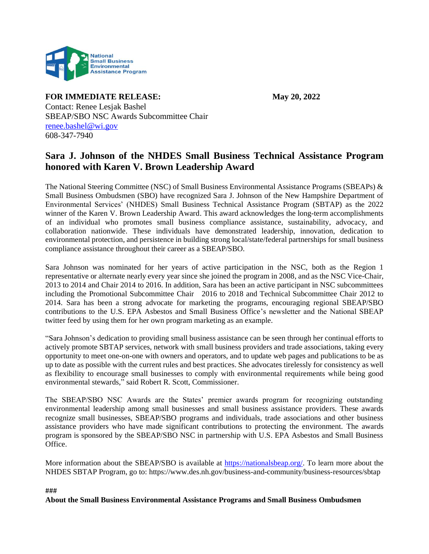

**FOR IMMEDIATE RELEASE: May 20, 2022**

Contact: Renee Lesjak Bashel SBEAP/SBO NSC Awards Subcommittee Chair [renee.bashel@wi.gov](mailto:renee.bashel@wi.gov) 608-347-7940

## **Sara J. Johnson of the NHDES Small Business Technical Assistance Program honored with Karen V. Brown Leadership Award**

The National Steering Committee (NSC) of Small Business Environmental Assistance Programs (SBEAPs) & Small Business Ombudsmen (SBO) have recognized Sara J. Johnson of the New Hampshire Department of Environmental Services' (NHDES) Small Business Technical Assistance Program (SBTAP) as the 2022 winner of the Karen V. Brown Leadership Award. This award acknowledges the long-term accomplishments of an individual who promotes small business compliance assistance, sustainability, advocacy, and collaboration nationwide. These individuals have demonstrated leadership, innovation, dedication to environmental protection, and persistence in building strong local/state/federal partnerships for small business compliance assistance throughout their career as a SBEAP/SBO.

Sara Johnson was nominated for her years of active participation in the NSC, both as the Region 1 representative or alternate nearly every year since she joined the program in 2008, and as the NSC Vice-Chair, 2013 to 2014 and Chair 2014 to 2016. In addition, Sara has been an active participant in NSC subcommittees including the Promotional Subcommittee Chair 2016 to 2018 and Technical Subcommittee Chair 2012 to 2014. Sara has been a strong advocate for marketing the programs, encouraging regional SBEAP/SBO contributions to the U.S. EPA Asbestos and Small Business Office's newsletter and the National SBEAP twitter feed by using them for her own program marketing as an example.

"Sara Johnson's dedication to providing small business assistance can be seen through her continual efforts to actively promote SBTAP services, network with small business providers and trade associations, taking every opportunity to meet one-on-one with owners and operators, and to update web pages and publications to be as up to date as possible with the current rules and best practices. She advocates tirelessly for consistency as well as flexibility to encourage small businesses to comply with environmental requirements while being good environmental stewards," said Robert R. Scott, Commissioner.

The SBEAP/SBO NSC Awards are the States' premier awards program for recognizing outstanding environmental leadership among small businesses and small business assistance providers. These awards recognize small businesses, SBEAP/SBO programs and individuals, trade associations and other business assistance providers who have made significant contributions to protecting the environment. The awards program is sponsored by the SBEAP/SBO NSC in partnership with U.S. EPA Asbestos and Small Business Office.

More information about the SBEAP/SBO is available at [https://nationalsbeap.org/.](https://nationalsbeap.org/) To learn more about the NHDES SBTAP Program, go to: https://www.des.nh.gov/business-and-community/business-resources/sbtap

###

**About the Small Business Environmental Assistance Programs and Small Business Ombudsmen**